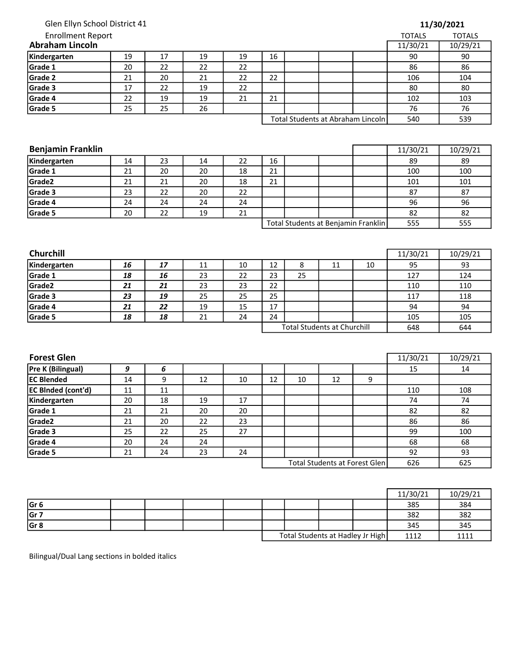| Enrollment Report<br>raham Lincoln |  |  |  |  |
|------------------------------------|--|--|--|--|
| Glen Ellyn School District 41      |  |  |  |  |
|                                    |  |  |  |  |

| 11/30/2021 |  |
|------------|--|
|------------|--|

| <b>Enrollment Report</b> |    |    |    |    |                                   |  |  |     | <b>TOTALS</b> | <b>TOTALS</b> |
|--------------------------|----|----|----|----|-----------------------------------|--|--|-----|---------------|---------------|
| <b>Abraham Lincoln</b>   |    |    |    |    |                                   |  |  |     | 11/30/21      | 10/29/21      |
| Kindergarten             | 19 | 17 | 19 | 19 | 16                                |  |  |     | 90            | 90            |
| Grade 1                  | 20 | 22 | 22 | 22 |                                   |  |  |     | 86            | 86            |
| Grade 2                  | 21 | 20 | 21 | 22 | 22                                |  |  |     | 106           | 104           |
| Grade 3                  | 17 | 22 | 19 | 22 |                                   |  |  |     | 80            | 80            |
| Grade 4                  | 22 | 19 | 19 | 21 | 21                                |  |  |     | 102           | 103           |
| Grade 5                  | 25 | 25 | 26 |    |                                   |  |  |     | 76            | 76            |
|                          |    |    |    |    | Total Students at Abraham Lincoln |  |  | 540 | 539           |               |

| <b>Benjamin Franklin</b> |    |    |    |    |                                     |  |  |  | 11/30/21 | 10/29/21 |
|--------------------------|----|----|----|----|-------------------------------------|--|--|--|----------|----------|
| Kindergarten             | 14 | 23 | 14 | 22 | 16                                  |  |  |  | 89       | 89       |
| Grade 1                  | 21 | 20 | 20 | 18 | 21                                  |  |  |  | 100      | 100      |
| Grade2                   | 21 | 21 | 20 | 18 | 21                                  |  |  |  | 101      | 101      |
| Grade 3                  | 23 | 22 | 20 | 22 |                                     |  |  |  | 87       | 87       |
| Grade 4                  | 24 | 24 | 24 | 24 |                                     |  |  |  | 96       | 96       |
| Grade 5                  | 20 | 22 | 19 | 21 |                                     |  |  |  | 82       | 82       |
|                          |    |    |    |    | Total Students at Benjamin Franklin |  |  |  | 555      | 555      |

| <b>Churchill</b>   |    |    |    |    |                                    |    |    |    | 11/30/21 | 10/29/21 |
|--------------------|----|----|----|----|------------------------------------|----|----|----|----------|----------|
| Kindergarten       | 16 | 17 | 11 | 10 | 12                                 | Õ  | 11 | 10 | 95       | 93       |
| Grade 1            | 18 | 16 | 23 | 22 | 23                                 | 25 |    |    | 127      | 124      |
| Grade <sub>2</sub> | 21 | 21 | 23 | 23 | 22                                 |    |    |    | 110      | 110      |
| Grade 3            | 23 | 19 | 25 | 25 | 25                                 |    |    |    | 117      | 118      |
| Grade 4            | 21 | 22 | 19 | 15 | 17                                 |    |    |    | 94       | 94       |
| Grade 5            | 18 | 18 | 21 | 24 | 24                                 |    |    |    | 105      | 105      |
|                    |    |    |    |    | <b>Total Students at Churchill</b> |    |    |    | 648      | 644      |

| <b>Forest Glen</b>        |    |    |    |    |    |    |                               |     | 11/30/21 | 10/29/21 |
|---------------------------|----|----|----|----|----|----|-------------------------------|-----|----------|----------|
| Pre K (Bilingual)         | 9  | 6  |    |    |    |    |                               |     | 15       | 14       |
| <b>EC Blended</b>         | 14 | 9  | 12 | 10 | 12 | 10 | 12                            | 9   |          |          |
| <b>EC BInded (cont'd)</b> | 11 | 11 |    |    |    |    |                               |     | 110      | 108      |
| Kindergarten              | 20 | 18 | 19 | 17 |    |    |                               |     | 74       | 74       |
| Grade 1                   | 21 | 21 | 20 | 20 |    |    |                               |     | 82       | 82       |
| Grade <sub>2</sub>        | 21 | 20 | 22 | 23 |    |    |                               |     | 86       | 86       |
| Grade 3                   | 25 | 22 | 25 | 27 |    |    |                               |     | 99       | 100      |
| Grade 4                   | 20 | 24 | 24 |    |    |    |                               |     | 68       | 68       |
| Grade 5                   | 21 | 24 | 23 | 24 |    |    |                               |     | 92       | 93       |
|                           |    |    |    |    |    |    | Total Students at Forest Glen | 626 | 625      |          |

|                 |  |  |  |                                  | 11/30/21 | 10/29/21 |
|-----------------|--|--|--|----------------------------------|----------|----------|
| Gr <sub>6</sub> |  |  |  |                                  | 385      | 384      |
| Gr 7            |  |  |  |                                  | 382      | 382      |
| Gr <sub>8</sub> |  |  |  |                                  | 345      | 345      |
|                 |  |  |  | Total Students at Hadley Jr High | 1112     | 1111     |

Bilingual/Dual Lang sections in bolded italics